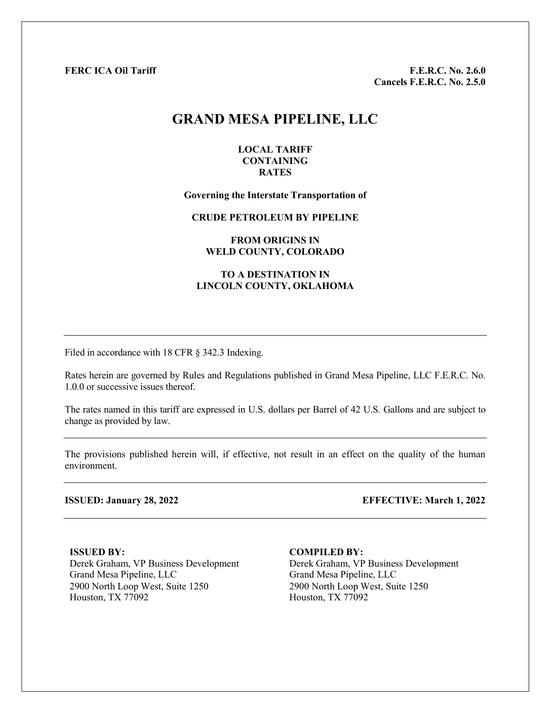FERC ICA Oil Tariff F.E.R.C. No. 2.6.0 Cancels F.E.R.C. No. 2.5.0

# GRAND MESA PIPELINE, LLC

#### LOCAL TARIFF **CONTAINING** RATES

#### Governing the Interstate Transportation of

CRUDE PETROLEUM BY PIPELINE

#### FROM ORIGINS IN WELD COUNTY, COLORADO

#### TO A DESTINATION IN LINCOLN COUNTY, OKLAHOMA

Filed in accordance with 18 CFR § 342.3 Indexing.

Rates herein are governed by Rules and Regulations published in Grand Mesa Pipeline, LLC F.E.R.C. No. 1.0.0 or successive issues thereof.

The rates named in this tariff are expressed in U.S. dollars per Barrel of 42 U.S. Gallons and are subject to change as provided by law.

The provisions published herein will, if effective, not result in an effect on the quality of the human environment.

ISSUED: January 28, 2022 EFFECTIVE: March 1, 2022

ISSUED BY: Derek Graham, VP Business Development 2900 North Loop West, Suite 1250 2900 North Loop West, Suite 1250 Houston, TX 77092 Houston, TX 77092

COMPILED BY: Derek Graham, VP Business Development Grand Mesa Pipeline, LLC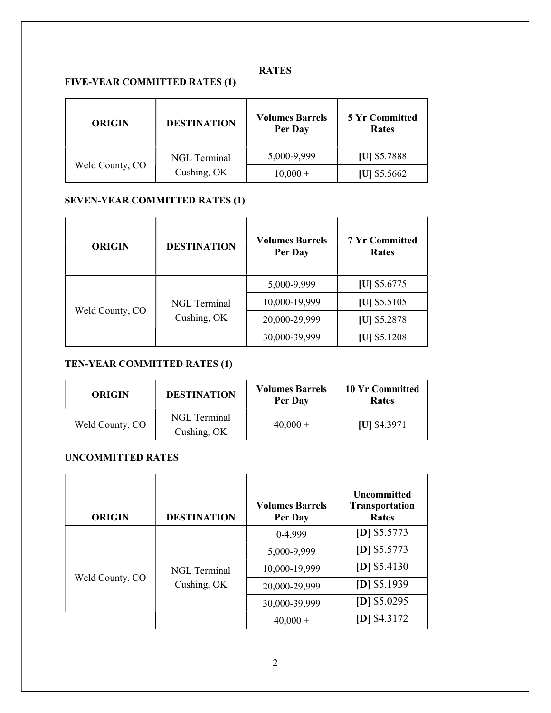## RATES

### FIVE-YEAR COMMITTED RATES (1)

| <b>ORIGIN</b>   | <b>DESTINATION</b>                 | <b>Volumes Barrels</b><br>Per Day | <b>5 Yr Committed</b><br><b>Rates</b> |
|-----------------|------------------------------------|-----------------------------------|---------------------------------------|
| Weld County, CO | <b>NGL</b> Terminal<br>Cushing, OK | 5,000-9,999                       | [U] \$5.7888                          |
|                 |                                    | $10,000 +$                        | $ U $ \$5.5662                        |

## SEVEN-YEAR COMMITTED RATES (1)

| <b>ORIGIN</b>   | <b>DESTINATION</b>                 | <b>Volumes Barrels</b><br>Per Day | <b>7 Yr Committed</b><br><b>Rates</b> |
|-----------------|------------------------------------|-----------------------------------|---------------------------------------|
| Weld County, CO | <b>NGL</b> Terminal<br>Cushing, OK | 5,000-9,999                       | [U] $$5.6775$                         |
|                 |                                    | 10,000-19,999                     | $[U]$ \$5.5105                        |
|                 |                                    | 20,000-29,999                     | [U] \$5.2878                          |
|                 |                                    | 30,000-39,999                     | $ U $ \$5.1208                        |

## TEN-YEAR COMMITTED RATES (1)

| <b>ORIGIN</b>   | <b>DESTINATION</b>          | <b>Volumes Barrels</b><br>Per Day | 10 Yr Committed<br><b>Rates</b> |
|-----------------|-----------------------------|-----------------------------------|---------------------------------|
| Weld County, CO | NGL Terminal<br>Cushing, OK | $40,000 +$                        | $[U]$ \$4.3971                  |

## UNCOMMITTED RATES

| <b>ORIGIN</b>   | <b>DESTINATION</b>                 | <b>Volumes Barrels</b><br>Per Day | <b>Uncommitted</b><br><b>Transportation</b><br><b>Rates</b> |
|-----------------|------------------------------------|-----------------------------------|-------------------------------------------------------------|
| Weld County, CO | <b>NGL</b> Terminal<br>Cushing, OK | 0-4,999                           | $[D]$ \$5.5773                                              |
|                 |                                    | 5,000-9,999                       | $[D]$ \$5.5773                                              |
|                 |                                    | 10,000-19,999                     | $[D]$ \$5.4130                                              |
|                 |                                    | 20,000-29,999                     | $[D]$ \$5.1939                                              |
|                 |                                    | 30,000-39,999                     | $[D]$ \$5.0295                                              |
|                 |                                    | $40,000 +$                        | $[D]$ \$4.3172                                              |